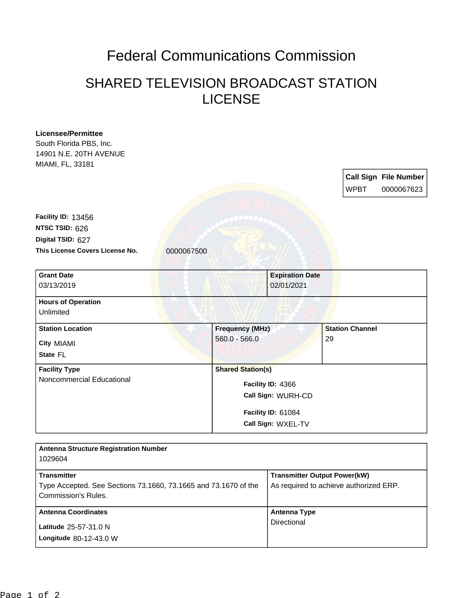## Federal Communications Commission

## SHARED TELEVISION BROADCAST STATION LICENSE

| <b>Licensee/Permittee</b><br>South Florida PBS, Inc.                                   |                          |                                     |                                        |  |
|----------------------------------------------------------------------------------------|--------------------------|-------------------------------------|----------------------------------------|--|
| 14901 N.E. 20TH AVENUE<br>MIAMI, FL, 33181                                             |                          |                                     |                                        |  |
|                                                                                        |                          |                                     | <b>Call Sign File Number</b>           |  |
|                                                                                        |                          |                                     | <b>WPBT</b><br>0000067623              |  |
|                                                                                        |                          |                                     |                                        |  |
| Facility ID: 13456                                                                     |                          |                                     |                                        |  |
| NTSC TSID: 626                                                                         |                          |                                     |                                        |  |
| Digital TSID: 627                                                                      |                          |                                     |                                        |  |
| This License Covers License No.                                                        | 0000067500               |                                     |                                        |  |
| <b>Grant Date</b>                                                                      |                          | <b>Expiration Date</b>              |                                        |  |
| 03/13/2019                                                                             |                          | 02/01/2021                          |                                        |  |
| <b>Hours of Operation</b>                                                              |                          |                                     |                                        |  |
| Unlimited                                                                              |                          |                                     |                                        |  |
| <b>Station Location</b>                                                                | <b>Frequency (MHz)</b>   |                                     | <b>Station Channel</b>                 |  |
| City MIAMI                                                                             | $560.0 - 566.0$          |                                     | 29                                     |  |
| State FL                                                                               |                          |                                     |                                        |  |
| <b>Facility Type</b>                                                                   | <b>Shared Station(s)</b> |                                     |                                        |  |
| Noncommercial Educational                                                              | Facility ID: 4366        |                                     |                                        |  |
|                                                                                        |                          | Call Sign: WURH-CD                  |                                        |  |
|                                                                                        |                          | Facility ID: 61084                  |                                        |  |
|                                                                                        |                          | Call Sign: WXEL-TV                  |                                        |  |
|                                                                                        |                          |                                     |                                        |  |
| <b>Antenna Structure Registration Number</b><br>1029604                                |                          |                                     |                                        |  |
| <b>Transmitter</b>                                                                     |                          | <b>Transmitter Output Power(kW)</b> |                                        |  |
| Type Accepted. See Sections 73.1660, 73.1665 and 73.1670 of the<br>Commission's Rules. |                          |                                     | As required to achieve authorized ERP. |  |
| <b>Antenna Coordinates</b>                                                             |                          | <b>Antenna Type</b>                 |                                        |  |
|                                                                                        |                          | Directional                         |                                        |  |

**Longitude** 80-12-43.0 W **Latitude** 25-57-31.0 N